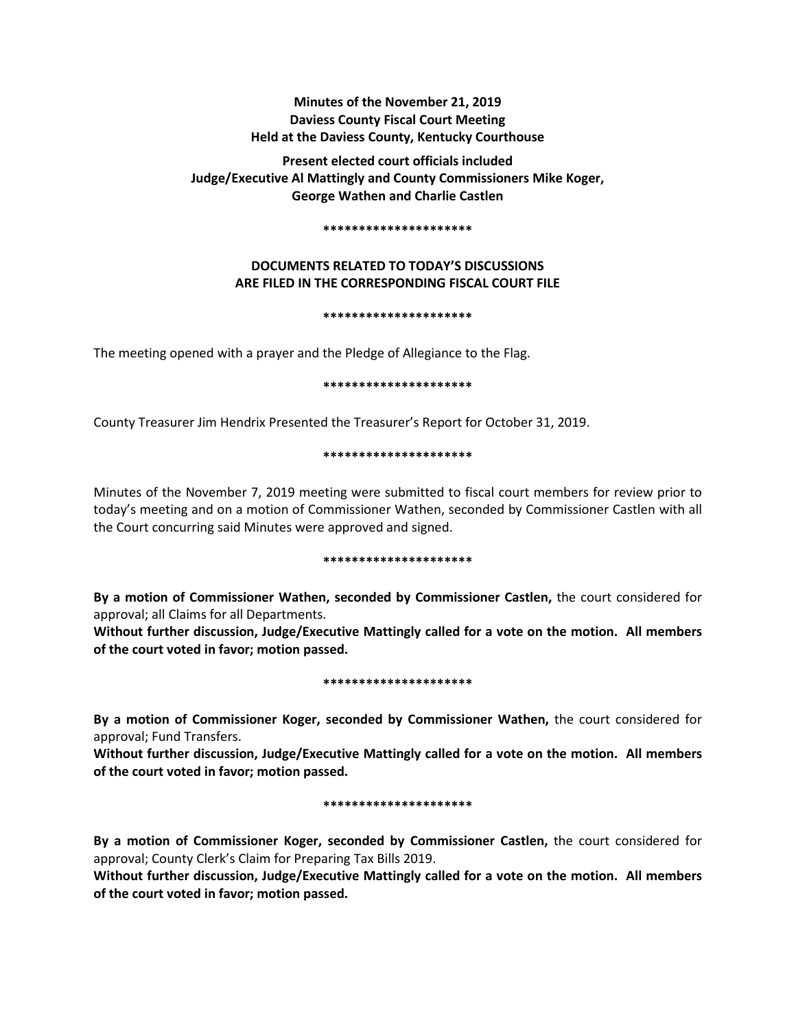# **Minutes of the November 21, 2019 Daviess County Fiscal Court Meeting Held at the Daviess County, Kentucky Courthouse**

**Present elected court officials included Judge/Executive Al Mattingly and County Commissioners Mike Koger, George Wathen and Charlie Castlen** 

#### **\*\*\*\*\*\*\*\*\*\*\*\*\*\*\*\*\*\*\*\*\***

## **DOCUMENTS RELATED TO TODAY'S DISCUSSIONS ARE FILED IN THE CORRESPONDING FISCAL COURT FILE**

#### **\*\*\*\*\*\*\*\*\*\*\*\*\*\*\*\*\*\*\*\*\***

The meeting opened with a prayer and the Pledge of Allegiance to the Flag.

### **\*\*\*\*\*\*\*\*\*\*\*\*\*\*\*\*\*\*\*\*\***

County Treasurer Jim Hendrix Presented the Treasurer's Report for October 31, 2019.

### **\*\*\*\*\*\*\*\*\*\*\*\*\*\*\*\*\*\*\*\*\***

Minutes of the November 7, 2019 meeting were submitted to fiscal court members for review prior to today's meeting and on a motion of Commissioner Wathen, seconded by Commissioner Castlen with all the Court concurring said Minutes were approved and signed.

#### **\*\*\*\*\*\*\*\*\*\*\*\*\*\*\*\*\*\*\*\*\***

**By a motion of Commissioner Wathen, seconded by Commissioner Castlen,** the court considered for approval; all Claims for all Departments.

**Without further discussion, Judge/Executive Mattingly called for a vote on the motion. All members of the court voted in favor; motion passed.** 

#### **\*\*\*\*\*\*\*\*\*\*\*\*\*\*\*\*\*\*\*\*\***

**By a motion of Commissioner Koger, seconded by Commissioner Wathen,** the court considered for approval; Fund Transfers.

**Without further discussion, Judge/Executive Mattingly called for a vote on the motion. All members of the court voted in favor; motion passed.** 

#### **\*\*\*\*\*\*\*\*\*\*\*\*\*\*\*\*\*\*\*\*\***

**By a motion of Commissioner Koger, seconded by Commissioner Castlen,** the court considered for approval; County Clerk's Claim for Preparing Tax Bills 2019.

**Without further discussion, Judge/Executive Mattingly called for a vote on the motion. All members of the court voted in favor; motion passed.**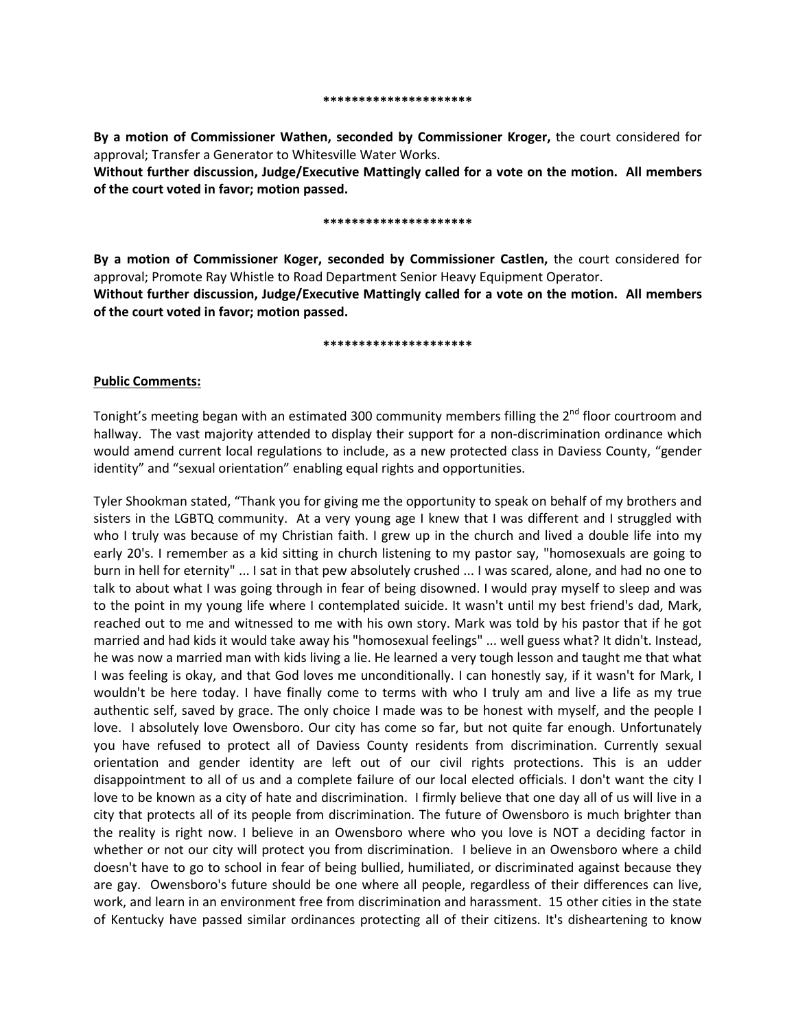**By a motion of Commissioner Wathen, seconded by Commissioner Kroger,** the court considered for approval; Transfer a Generator to Whitesville Water Works.

**Without further discussion, Judge/Executive Mattingly called for a vote on the motion. All members of the court voted in favor; motion passed.** 

#### **\*\*\*\*\*\*\*\*\*\*\*\*\*\*\*\*\*\*\*\*\***

**By a motion of Commissioner Koger, seconded by Commissioner Castlen,** the court considered for approval; Promote Ray Whistle to Road Department Senior Heavy Equipment Operator. **Without further discussion, Judge/Executive Mattingly called for a vote on the motion. All members** 

#### **\*\*\*\*\*\*\*\*\*\*\*\*\*\*\*\*\*\*\*\*\***

### **Public Comments:**

**of the court voted in favor; motion passed.** 

Tonight's meeting began with an estimated 300 community members filling the 2<sup>nd</sup> floor courtroom and hallway. The vast majority attended to display their support for a non-discrimination ordinance which would amend current local regulations to include, as a new protected class in Daviess County, "gender identity" and "sexual orientation" enabling equal rights and opportunities.

Tyler Shookman stated, "Thank you for giving me the opportunity to speak on behalf of my brothers and sisters in the LGBTQ community. At a very young age I knew that I was different and I struggled with who I truly was because of my Christian faith. I grew up in the church and lived a double life into my early 20's. I remember as a kid sitting in church listening to my pastor say, "homosexuals are going to burn in hell for eternity" ... I sat in that pew absolutely crushed ... I was scared, alone, and had no one to talk to about what I was going through in fear of being disowned. I would pray myself to sleep and was to the point in my young life where I contemplated suicide. It wasn't until my best friend's dad, Mark, reached out to me and witnessed to me with his own story. Mark was told by his pastor that if he got married and had kids it would take away his "homosexual feelings" ... well guess what? It didn't. Instead, he was now a married man with kids living a lie. He learned a very tough lesson and taught me that what I was feeling is okay, and that God loves me unconditionally. I can honestly say, if it wasn't for Mark, I wouldn't be here today. I have finally come to terms with who I truly am and live a life as my true authentic self, saved by grace. The only choice I made was to be honest with myself, and the people I love. I absolutely love Owensboro. Our city has come so far, but not quite far enough. Unfortunately you have refused to protect all of Daviess County residents from discrimination. Currently sexual orientation and gender identity are left out of our civil rights protections. This is an udder disappointment to all of us and a complete failure of our local elected officials. I don't want the city I love to be known as a city of hate and discrimination. I firmly believe that one day all of us will live in a city that protects all of its people from discrimination. The future of Owensboro is much brighter than the reality is right now. I believe in an Owensboro where who you love is NOT a deciding factor in whether or not our city will protect you from discrimination. I believe in an Owensboro where a child doesn't have to go to school in fear of being bullied, humiliated, or discriminated against because they are gay. Owensboro's future should be one where all people, regardless of their differences can live, work, and learn in an environment free from discrimination and harassment. 15 other cities in the state of Kentucky have passed similar ordinances protecting all of their citizens. It's disheartening to know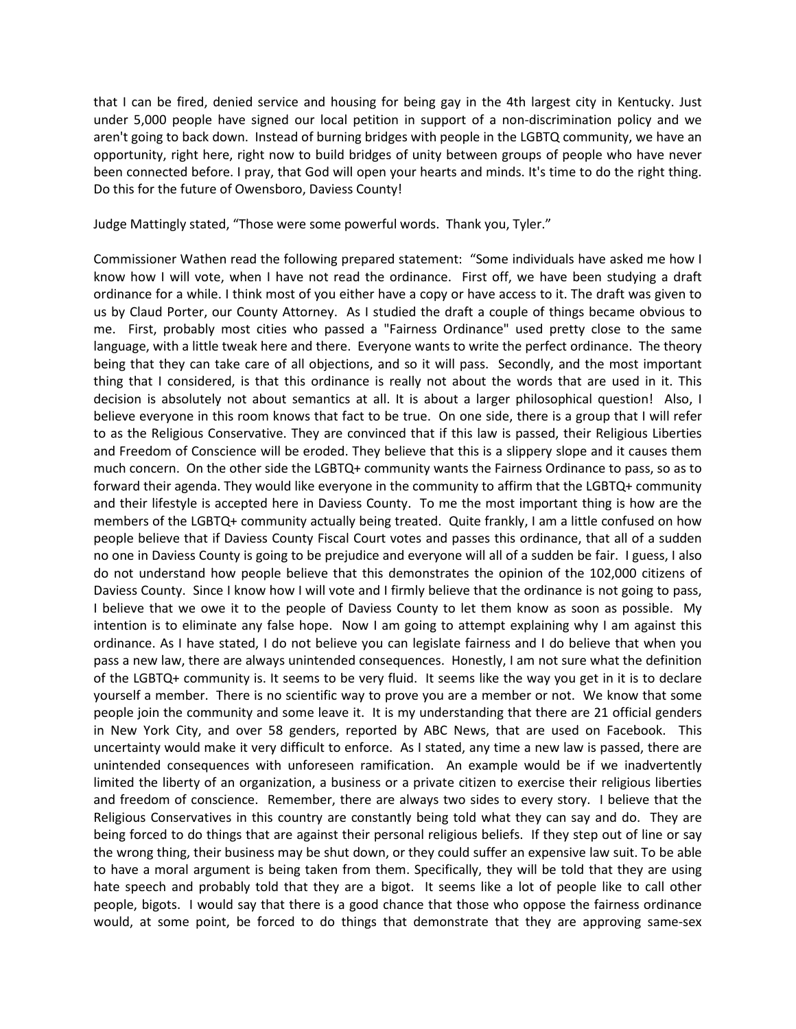that I can be fired, denied service and housing for being gay in the 4th largest city in Kentucky. Just under 5,000 people have signed our local petition in support of a non-discrimination policy and we aren't going to back down. Instead of burning bridges with people in the LGBTQ community, we have an opportunity, right here, right now to build bridges of unity between groups of people who have never been connected before. I pray, that God will open your hearts and minds. It's time to do the right thing. Do this for the future of Owensboro, Daviess County!

Judge Mattingly stated, "Those were some powerful words. Thank you, Tyler."

Commissioner Wathen read the following prepared statement: "Some individuals have asked me how I know how I will vote, when I have not read the ordinance. First off, we have been studying a draft ordinance for a while. I think most of you either have a copy or have access to it. The draft was given to us by Claud Porter, our County Attorney. As I studied the draft a couple of things became obvious to me. First, probably most cities who passed a "Fairness Ordinance" used pretty close to the same language, with a little tweak here and there. Everyone wants to write the perfect ordinance. The theory being that they can take care of all objections, and so it will pass. Secondly, and the most important thing that I considered, is that this ordinance is really not about the words that are used in it. This decision is absolutely not about semantics at all. It is about a larger philosophical question! Also, I believe everyone in this room knows that fact to be true. On one side, there is a group that I will refer to as the Religious Conservative. They are convinced that if this law is passed, their Religious Liberties and Freedom of Conscience will be eroded. They believe that this is a slippery slope and it causes them much concern. On the other side the LGBTQ+ community wants the Fairness Ordinance to pass, so as to forward their agenda. They would like everyone in the community to affirm that the LGBTQ+ community and their lifestyle is accepted here in Daviess County. To me the most important thing is how are the members of the LGBTQ+ community actually being treated. Quite frankly, I am a little confused on how people believe that if Daviess County Fiscal Court votes and passes this ordinance, that all of a sudden no one in Daviess County is going to be prejudice and everyone will all of a sudden be fair. I guess, I also do not understand how people believe that this demonstrates the opinion of the 102,000 citizens of Daviess County. Since I know how I will vote and I firmly believe that the ordinance is not going to pass, I believe that we owe it to the people of Daviess County to let them know as soon as possible. My intention is to eliminate any false hope. Now I am going to attempt explaining why I am against this ordinance. As I have stated, I do not believe you can legislate fairness and I do believe that when you pass a new law, there are always unintended consequences. Honestly, I am not sure what the definition of the LGBTQ+ community is. It seems to be very fluid. It seems like the way you get in it is to declare yourself a member. There is no scientific way to prove you are a member or not. We know that some people join the community and some leave it. It is my understanding that there are 21 official genders in New York City, and over 58 genders, reported by ABC News, that are used on Facebook. This uncertainty would make it very difficult to enforce. As I stated, any time a new law is passed, there are unintended consequences with unforeseen ramification. An example would be if we inadvertently limited the liberty of an organization, a business or a private citizen to exercise their religious liberties and freedom of conscience. Remember, there are always two sides to every story. I believe that the Religious Conservatives in this country are constantly being told what they can say and do. They are being forced to do things that are against their personal religious beliefs. If they step out of line or say the wrong thing, their business may be shut down, or they could suffer an expensive law suit. To be able to have a moral argument is being taken from them. Specifically, they will be told that they are using hate speech and probably told that they are a bigot. It seems like a lot of people like to call other people, bigots. I would say that there is a good chance that those who oppose the fairness ordinance would, at some point, be forced to do things that demonstrate that they are approving same-sex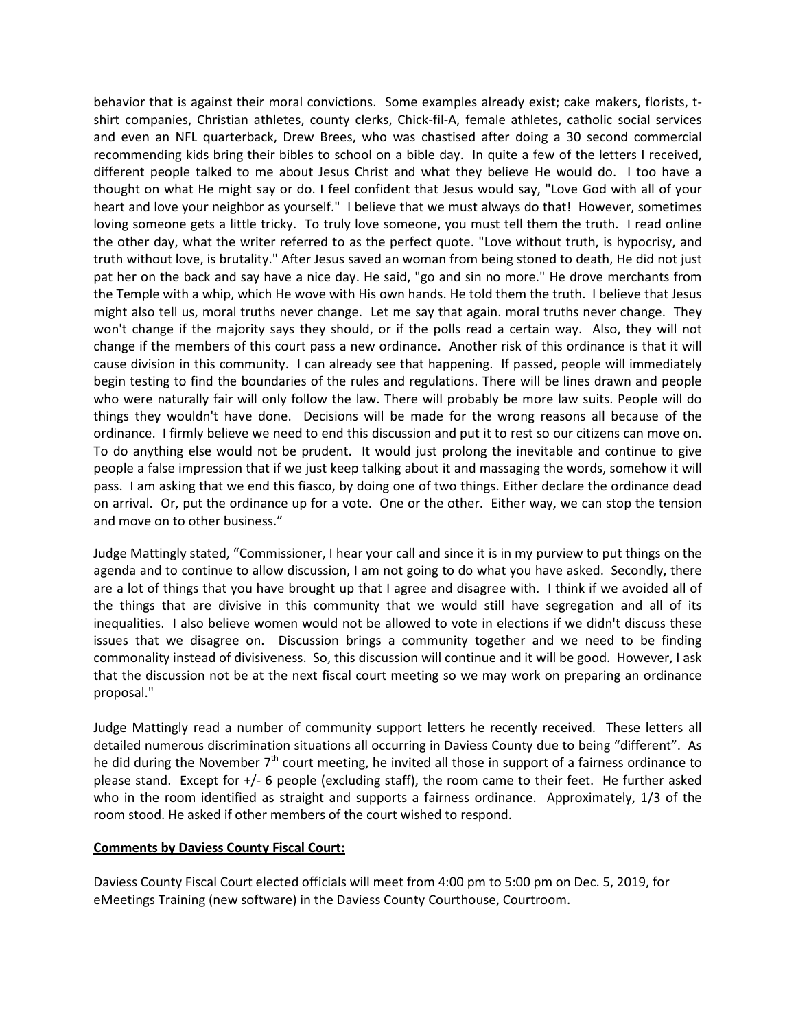behavior that is against their moral convictions. Some examples already exist; cake makers, florists, tshirt companies, Christian athletes, county clerks, Chick-fil-A, female athletes, catholic social services and even an NFL quarterback, Drew Brees, who was chastised after doing a 30 second commercial recommending kids bring their bibles to school on a bible day. In quite a few of the letters I received, different people talked to me about Jesus Christ and what they believe He would do. I too have a thought on what He might say or do. I feel confident that Jesus would say, "Love God with all of your heart and love your neighbor as yourself." I believe that we must always do that! However, sometimes loving someone gets a little tricky. To truly love someone, you must tell them the truth. I read online the other day, what the writer referred to as the perfect quote. "Love without truth, is hypocrisy, and truth without love, is brutality." After Jesus saved an woman from being stoned to death, He did not just pat her on the back and say have a nice day. He said, "go and sin no more." He drove merchants from the Temple with a whip, which He wove with His own hands. He told them the truth. I believe that Jesus might also tell us, moral truths never change. Let me say that again. moral truths never change. They won't change if the majority says they should, or if the polls read a certain way. Also, they will not change if the members of this court pass a new ordinance. Another risk of this ordinance is that it will cause division in this community. I can already see that happening. If passed, people will immediately begin testing to find the boundaries of the rules and regulations. There will be lines drawn and people who were naturally fair will only follow the law. There will probably be more law suits. People will do things they wouldn't have done. Decisions will be made for the wrong reasons all because of the ordinance. I firmly believe we need to end this discussion and put it to rest so our citizens can move on. To do anything else would not be prudent. It would just prolong the inevitable and continue to give people a false impression that if we just keep talking about it and massaging the words, somehow it will pass. I am asking that we end this fiasco, by doing one of two things. Either declare the ordinance dead on arrival. Or, put the ordinance up for a vote. One or the other. Either way, we can stop the tension and move on to other business."

Judge Mattingly stated, "Commissioner, I hear your call and since it is in my purview to put things on the agenda and to continue to allow discussion, I am not going to do what you have asked. Secondly, there are a lot of things that you have brought up that I agree and disagree with. I think if we avoided all of the things that are divisive in this community that we would still have segregation and all of its inequalities. I also believe women would not be allowed to vote in elections if we didn't discuss these issues that we disagree on. Discussion brings a community together and we need to be finding commonality instead of divisiveness. So, this discussion will continue and it will be good. However, I ask that the discussion not be at the next fiscal court meeting so we may work on preparing an ordinance proposal."

Judge Mattingly read a number of community support letters he recently received. These letters all detailed numerous discrimination situations all occurring in Daviess County due to being "different". As he did during the November 7<sup>th</sup> court meeting, he invited all those in support of a fairness ordinance to please stand. Except for +/- 6 people (excluding staff), the room came to their feet. He further asked who in the room identified as straight and supports a fairness ordinance. Approximately, 1/3 of the room stood. He asked if other members of the court wished to respond.

## **Comments by Daviess County Fiscal Court:**

Daviess County Fiscal Court elected officials will meet from 4:00 pm to 5:00 pm on Dec. 5, 2019, for eMeetings Training (new software) in the Daviess County Courthouse, Courtroom.